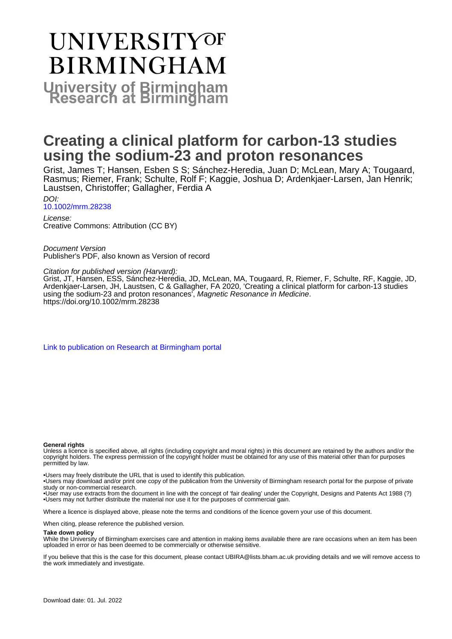# UNIVERSITYOF **BIRMINGHAM University of Birmingham**

# **Creating a clinical platform for carbon-13 studies using the sodium-23 and proton resonances**

Grist, James T; Hansen, Esben S S; Sánchez-Heredia, Juan D; McLean, Mary A; Tougaard, Rasmus; Riemer, Frank; Schulte, Rolf F; Kaggie, Joshua D; Ardenkjaer-Larsen, Jan Henrik; Laustsen, Christoffer; Gallagher, Ferdia A

DOI: [10.1002/mrm.28238](https://doi.org/10.1002/mrm.28238)

License: Creative Commons: Attribution (CC BY)

Document Version Publisher's PDF, also known as Version of record

Citation for published version (Harvard):

Grist, JT, Hansen, ESS, Sánchez-Heredia, JD, McLean, MA, Tougaard, R, Riemer, F, Schulte, RF, Kaggie, JD, Ardenkjaer-Larsen, JH, Laustsen, C & Gallagher, FA 2020, 'Creating a clinical platform for carbon-13 studies using the sodium-23 and proton resonances<sup>Y</sup>, Magnetic Resonance in Medicine. <https://doi.org/10.1002/mrm.28238>

[Link to publication on Research at Birmingham portal](https://birmingham.elsevierpure.com/en/publications/251042d7-9ea7-4010-8dfa-317d359ddda7)

#### **General rights**

Unless a licence is specified above, all rights (including copyright and moral rights) in this document are retained by the authors and/or the copyright holders. The express permission of the copyright holder must be obtained for any use of this material other than for purposes permitted by law.

• Users may freely distribute the URL that is used to identify this publication.

• Users may download and/or print one copy of the publication from the University of Birmingham research portal for the purpose of private study or non-commercial research.

• User may use extracts from the document in line with the concept of 'fair dealing' under the Copyright, Designs and Patents Act 1988 (?) • Users may not further distribute the material nor use it for the purposes of commercial gain.

Where a licence is displayed above, please note the terms and conditions of the licence govern your use of this document.

When citing, please reference the published version.

#### **Take down policy**

While the University of Birmingham exercises care and attention in making items available there are rare occasions when an item has been uploaded in error or has been deemed to be commercially or otherwise sensitive.

If you believe that this is the case for this document, please contact UBIRA@lists.bham.ac.uk providing details and we will remove access to the work immediately and investigate.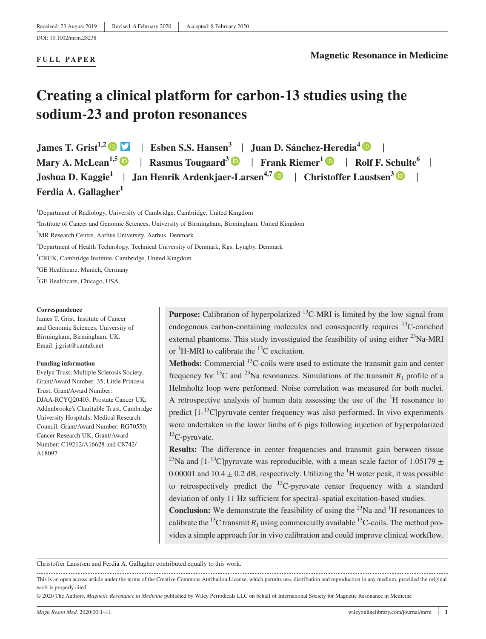# **Creating a clinical platform for carbon-13 studies using the sodium-23 and proton resonances**

**James T. Grist**<sup>1,[2](https://orcid.org/0000-0001-7223-4031)</sup>  $\bullet$   $\bullet$  [|](https://orcid.org/0000-0003-2199-0405) Esben S.S. Hansen<sup>3</sup> | **Juan D. Sánchez-Heredia<sup>4</sup> Mary A. McLean**<sup>1,[5](https://orcid.org/0000-0002-3752-0179)</sup>  $\bullet$  | **Rasmus Tougaard**<sup>3</sup>  $\bullet$  | **Frank Riemer**<sup>[1](https://orcid.org/0000-0002-3805-5221)</sup>  $\bullet$  | **Rolf F. Schulte**<sup>6</sup> | **Joshua D. Kaggie<sup>1</sup> | Jan Henrik Ardenkjaer-Larsen<sup>4,7</sup> | Christoffer Laustsen<sup>3</sup> | |** Ferdia A. Gallagher<sup>1</sup>

<sup>1</sup>Department of Radiology, University of Cambridge, Cambridge, United Kingdom

<sup>2</sup>Institute of Cancer and Genomic Sciences, University of Birmingham, Birmingham, United Kingdom

3 MR Research Centre, Aarhus University, Aarhus, Denmark

4 Department of Health Technology, Technical University of Denmark, Kgs. Lyngby, Denmark

5 CRUK, Cambridge Institute, Cambridge, United Kingdom

6 GE Healthcare, Munich, Germany

<sup>7</sup>GE Healthcare, Chicago, USA

#### **Correspondence**

James T. Grist, Institute of Cancer and Genomic Sciences, University of Birmingham, Birmingham, UK. Email: [j.grist@cantab.net](mailto:j.grist@cantab.net)

#### **Funding information**

Evelyn Trust; Multiple Sclerosis Society, Grant/Award Number: 35; Little Princess Trust, Grant/Award Number: DJAA-RCYQ20403; Prostate Cancer UK; Addenbrooke's Charitable Trust, Cambridge University Hospitals; Medical Research Council, Grant/Award Number: RG70550; Cancer Research UK, Grant/Award Number: C19212/A16628 and C8742/ A18097

**Purpose:** Calibration of hyperpolarized <sup>13</sup>C-MRI is limited by the low signal from endogenous carbon-containing molecules and consequently requires  $^{13}$ C-enriched external phantoms. This study investigated the feasibility of using either  $^{23}$ Na-MRI or  $\mathrm{^{1}H\text{-}MRI}$  to calibrate the  $\mathrm{^{13}C}$  excitation.

**Methods:** Commercial <sup>13</sup>C-coils were used to estimate the transmit gain and center frequency for <sup>13</sup>C and <sup>23</sup>Na resonances. Simulations of the transmit  $B_1$  profile of a Helmholtz loop were performed. Noise correlation was measured for both nuclei. A retrospective analysis of human data assessing the use of the  ${}^{1}H$  resonance to predict  $[1 - 13C]$  pyruvate center frequency was also performed. In vivo experiments were undertaken in the lower limbs of 6 pigs following injection of hyperpolarized  ${}^{13}$ C-pyruvate.

**Results:** The difference in center frequencies and transmit gain between tissue <sup>23</sup>Na and [1-<sup>13</sup>C]pyruvate was reproducible, with a mean scale factor of 1.05179  $\pm$ 0.00001 and  $10.4 \pm 0.2$  dB, respectively. Utilizing the <sup>1</sup>H water peak, it was possible to retrospectively predict the  $^{13}$ C-pyruvate center frequency with a standard deviation of only 11 Hz sufficient for spectral–spatial excitation-based studies.

**Conclusion:** We demonstrate the feasibility of using the  $2^{3}$ Na and  $^{1}$ H resonances to calibrate the <sup>13</sup>C transmit  $B_1$  using commercially available <sup>13</sup>C-coils. The method provides a simple approach for in vivo calibration and could improve clinical workflow.

Christoffer Laustsen and Ferdia A. Gallagher contributed equally to this work.

This is an open access article under the terms of the [Creative Commons Attribution](http://creativecommons.org/licenses/by/4.0/) License, which permits use, distribution and reproduction in any medium, provided the original work is properly cited.

© 2020 The Authors. *Magnetic Resonance in Medicine* published by Wiley Periodicals LLC on behalf of International Society for Magnetic Resonance in Medicine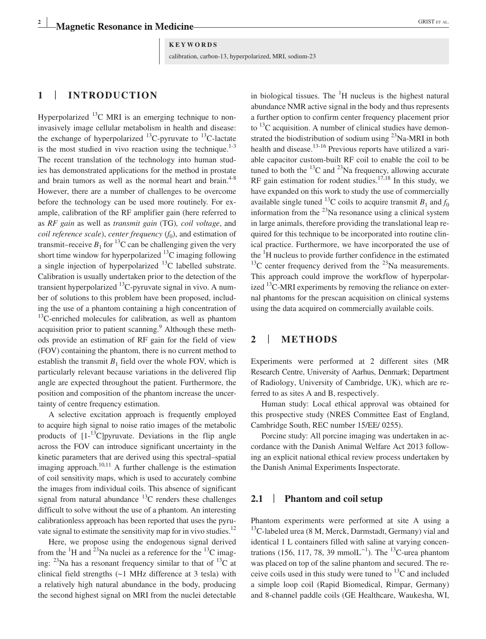#### **KEYWORDS**

calibration, carbon-13, hyperpolarized, MRI, sodium-23

#### **1** | **INTRODUCTION**

Hyperpolarized  $^{13}$ C MRI is an emerging technique to noninvasively image cellular metabolism in health and disease: the exchange of hyperpolarized  $^{13}$ C-pyruvate to  $^{13}$ C-lactate is the most studied in vivo reaction using the technique.<sup>1-3</sup> The recent translation of the technology into human studies has demonstrated applications for the method in prostate and brain tumors as well as the normal heart and brain. $4-8$ However, there are a number of challenges to be overcome before the technology can be used more routinely. For example, calibration of the RF amplifier gain (here referred to as *RF gain* as well as *transmit gain* (TG)*, coil voltage*, and *coil reference scale*), *center frequency*  $(f_0)$ , and estimation of transmit–receive  $B_1$  for <sup>13</sup>C can be challenging given the very short time window for hyperpolarized  $^{13}$ C imaging following a single injection of hyperpolarized  $^{13}$ C labelled substrate. Calibration is usually undertaken prior to the detection of the transient hyperpolarized  $^{13}$ C-pyruvate signal in vivo. A number of solutions to this problem have been proposed, including the use of a phantom containing a high concentration of  $13$ C-enriched molecules for calibration, as well as phantom acquisition prior to patient scanning.<sup>9</sup> Although these methods provide an estimation of RF gain for the field of view (FOV) containing the phantom, there is no current method to establish the transmit  $B_1$  field over the whole FOV, which is particularly relevant because variations in the delivered flip angle are expected throughout the patient. Furthermore, the position and composition of the phantom increase the uncertainty of centre frequency estimation.

A selective excitation approach is frequently employed to acquire high signal to noise ratio images of the metabolic products of  $[1 -$ <sup>13</sup>C]pyruvate. Deviations in the flip angle across the FOV can introduce significant uncertainty in the kinetic parameters that are derived using this spectral–spatial imaging approach.<sup>10,11</sup> A further challenge is the estimation of coil sensitivity maps, which is used to accurately combine the images from individual coils. This absence of significant signal from natural abundance  $^{13}$ C renders these challenges difficult to solve without the use of a phantom. An interesting calibrationless approach has been reported that uses the pyruvate signal to estimate the sensitivity map for in vivo studies.<sup>12</sup>

Here, we propose using the endogenous signal derived from the  ${}^{1}H$  and  ${}^{23}Na$  nuclei as a reference for the  ${}^{13}C$  imaging:  $^{23}$ Na has a resonant frequency similar to that of  $^{13}$ C at clinical field strengths (~1 MHz difference at 3 tesla) with a relatively high natural abundance in the body, producing the second highest signal on MRI from the nuclei detectable

in biological tissues. The  ${}^{1}H$  nucleus is the highest natural abundance NMR active signal in the body and thus represents a further option to confirm center frequency placement prior to  $^{13}$ C acquisition. A number of clinical studies have demonstrated the biodistribution of sodium using  $^{23}$ Na-MRI in both health and disease.<sup>13-16</sup> Previous reports have utilized a variable capacitor custom-built RF coil to enable the coil to be tuned to both the  $^{13}$ C and  $^{23}$ Na frequency, allowing accurate RF gain estimation for rodent studies.<sup>17,18</sup> In this study, we have expanded on this work to study the use of commercially available single tuned <sup>13</sup>C coils to acquire transmit  $B_1$  and  $f_0$ information from the  $^{23}$ Na resonance using a clinical system in large animals, therefore providing the translational leap required for this technique to be incorporated into routine clinical practice. Furthermore, we have incorporated the use of the <sup>1</sup>H nucleus to provide further confidence in the estimated  $^{13}$ C center frequency derived from the  $^{23}$ Na measurements. This approach could improve the workflow of hyperpolarized  $^{13}$ C-MRI experiments by removing the reliance on external phantoms for the prescan acquisition on clinical systems using the data acquired on commercially available coils.

#### **2** | **METHODS**

Experiments were performed at 2 different sites (MR Research Centre, University of Aarhus, Denmark; Department of Radiology, University of Cambridge, UK), which are referred to as sites A and B, respectively.

Human study: Local ethical approval was obtained for this prospective study (NRES Committee East of England, Cambridge South, REC number 15/EE/ 0255).

Porcine study: All porcine imaging was undertaken in accordance with the Danish Animal Welfare Act 2013 following an explicit national ethical review process undertaken by the Danish Animal Experiments Inspectorate.

#### **2.1** | **Phantom and coil setup**

Phantom experiments were performed at site A using a  $13$ C-labeled urea (8 M, Merck, Darmstadt, Germany) vial and identical 1 L containers filled with saline at varying concentrations (156, 117, 78, 39 mmol $L^{-1}$ ). The <sup>13</sup>C-urea phantom was placed on top of the saline phantom and secured. The receive coils used in this study were tuned to  $^{13}$ C and included a simple loop coil (Rapid Biomedical, Rimpar, Germany) and 8-channel paddle coils (GE Healthcare, Waukesha, WI,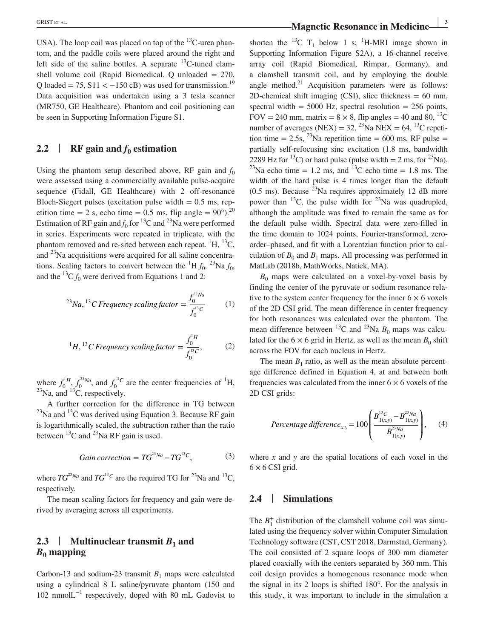USA). The loop coil was placed on top of the  $^{13}$ C-urea phantom, and the paddle coils were placed around the right and left side of the saline bottles. A separate  $^{13}$ C-tuned clamshell volume coil (Rapid Biomedical, Q unloaded = 270, Q loaded = 75, S11 <  $-150$  cB) was used for transmission.<sup>19</sup> Data acquisition was undertaken using a 3 tesla scanner (MR750, GE Healthcare). Phantom and coil positioning can be seen in Supporting Information Figure S1.

#### **2.2** | **RF** gain and  $f_0$  estimation

Using the phantom setup described above, RF gain and  $f_0$ were assessed using a commercially available pulse-acquire sequence (Fidall, GE Healthcare) with 2 off-resonance Bloch-Siegert pulses (excitation pulse width  $= 0.5$  ms, repetition time = 2 s, echo time = 0.5 ms, flip angle =  $90^{\circ}$ ).<sup>20</sup> Estimation of RF gain and  $f_0$  for <sup>13</sup>C and <sup>23</sup>Na were performed in series. Experiments were repeated in triplicate, with the phantom removed and re-sited between each repeat.  ${}^{1}H, {}^{13}C,$ and  $^{23}$ Na acquisitions were acquired for all saline concentrations. Scaling factors to convert between the <sup>1</sup>H  $f_0$ , <sup>23</sup>Na  $f_0$ , and the <sup>13</sup>C  $f_0$  were derived from Equations 1 and 2:

$$
^{23}Na, ^{13}C\,Frequency\,scaling\,factor = \frac{f_0^{^{23}Na}}{f_0^{^{13}C}} \tag{1}
$$

$$
{}^{1}H, {}^{13}C\,Frequency\,scaling\,factor = \frac{f_0^{1H}}{f_0^{13C}},
$$
 (2)

where  $f_0^{H}$ ,  $f_0^{23}$ *Na*, and  $f_0^{13}$ *C* are the center frequencies of <sup>1</sup>H,  $^{23}$ Na, and  $^{13}$ C, respectively.

A further correction for the difference in TG between  $^{23}$ Na and  $^{13}$ C was derived using Equation 3. Because RF gain is logarithmically scaled, the subtraction rather than the ratio between  $^{13}$ C and  $^{23}$ Na RF gain is used.

$$
Gain correction = TG^{^{23}Na} - TG^{^{13}C}, \tag{3}
$$

where  $TG^{23}Na$  and  $TG^{13}C$  are the required TG for <sup>23</sup>Na and <sup>13</sup>C, respectively.

The mean scaling factors for frequency and gain were derived by averaging across all experiments.

#### **2.3** | **Multinuclear transmit**  $B_1$  **and** *B***0 mapping**

Carbon-13 and sodium-23 transmit  $B_1$  maps were calculated using a cylindrical 8 L saline/pyruvate phantom (150 and 102 mmolL−1 respectively, doped with 80 mL Gadovist to

shorten the <sup>13</sup>C T<sub>1</sub> below 1 s; <sup>1</sup>H-MRI image shown in Supporting Information Figure S2A), a 16-channel receive array coil (Rapid Biomedical, Rimpar, Germany), and a clamshell transmit coil, and by employing the double angle method. $21$  Acquisition parameters were as follows: 2D-chemical shift imaging (CSI), slice thickness =  $60$  mm, spectral width  $= 5000$  Hz, spectral resolution  $= 256$  points, FOV = 240 mm, matrix =  $8 \times 8$ , flip angles = 40 and 80, <sup>13</sup>C number of averages (NEX) = 32, <sup>23</sup>Na NEX = 64, <sup>13</sup>C repetition time = 2.5s, <sup>23</sup>Na repetition time = 600 ms, RF pulse = partially self-refocusing sinc excitation (1.8 ms, bandwidth 2289 Hz for <sup>13</sup>C) or hard pulse (pulse width = 2 ms, for <sup>23</sup>Na), <sup>23</sup>Na echo time = 1.2 ms, and <sup>13</sup>C echo time = 1.8 ms. The width of the hard pulse is 4 times longer than the default (0.5 ms). Because  $^{23}$ Na requires approximately 12 dB more power than <sup>13</sup>C, the pulse width for <sup>23</sup>Na was quadrupled, although the amplitude was fixed to remain the same as for the default pulse width. Spectral data were zero-filled in the time domain to 1024 points, Fourier-transformed, zeroorder–phased, and fit with a Lorentzian function prior to calculation of  $B_0$  and  $B_1$  maps. All processing was performed in MatLab (2018b, MathWorks, Natick, MA).

 $B_0$  maps were calculated on a voxel-by-voxel basis by finding the center of the pyruvate or sodium resonance relative to the system center frequency for the inner  $6 \times 6$  voxels of the 2D CSI grid. The mean difference in center frequency for both resonances was calculated over the phantom. The mean difference between <sup>13</sup>C and <sup>23</sup>Na  $B_0$  maps was calculated for the  $6 \times 6$  grid in Hertz, as well as the mean  $B_0$  shift across the FOV for each nucleus in Hertz.

The mean  $B_1$  ratio, as well as the mean absolute percentage difference defined in Equation 4, at and between both frequencies was calculated from the inner  $6 \times 6$  voxels of the 2D CSI grids:

$$
Percentage difference_{x,y} = 100 \left( \frac{B_{1(x,y)}^{13C} - B_{1(x,y)}^{23Na}}{B_{1(x,y)}^{23Na}} \right), \quad (4)
$$

where *x* and *y* are the spatial locations of each voxel in the  $6 \times 6$  CSI grid.

#### **2.4** | **Simulations**

The  $B_1^+$  distribution of the clamshell volume coil was simulated using the frequency solver within Computer Simulation Technology software (CST, CST 2018, Darmstad, Germany). The coil consisted of 2 square loops of 300 mm diameter placed coaxially with the centers separated by 360 mm. This coil design provides a homogenous resonance mode when the signal in its 2 loops is shifted 180°. For the analysis in this study, it was important to include in the simulation a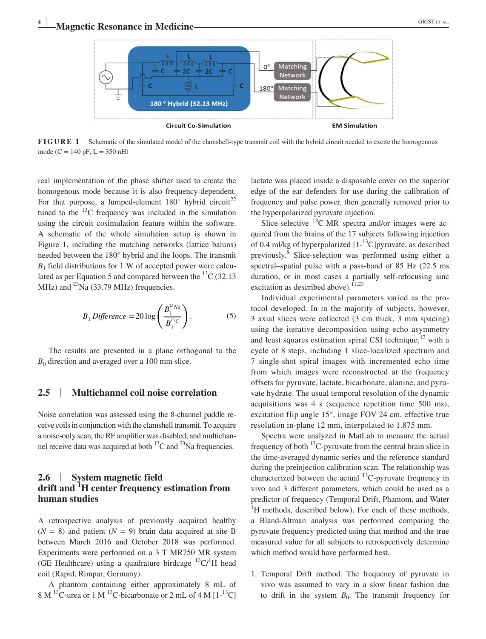

**FIGURE 1** Schematic of the simulated model of the clamshell-type transmit coil with the hybrid circuit needed to excite the homogenous mode (C = 140 pF, L = 350 nH)

real implementation of the phase shifter used to create the homogenous mode because it is also frequency-dependent. For that purpose, a lumped-element  $180^\circ$  hybrid circuit<sup>22</sup> tuned to the  $^{13}$ C frequency was included in the simulation using the circuit cosimulation feature within the software. A schematic of the whole simulation setup is shown in Figure 1, including the matching networks (lattice baluns) needed between the 180° hybrid and the loops. The transmit  $B_1$  field distributions for 1 W of accepted power were calculated as per Equation 5 and compared between the  $^{13}C$  (32.13) MHz) and  $^{23}$ Na (33.79 MHz) frequencies.

$$
B_1 \text{ Difference} = 20 \log \left( \frac{B_1^{23Na}}{B_1^{13C}} \right). \tag{5}
$$

The results are presented in a plane orthogonal to the  $B<sub>0</sub>$  direction and averaged over a 100 mm slice.

#### **2.5** | **Multichannel coil noise correlation**

Noise correlation was assessed using the 8-channel paddle receive coils in conjunction with the clamshell transmit. To acquire a noise-only scan, the RF amplifier was disabled, and multichannel receive data was acquired at both  ${}^{13}C$  and  ${}^{23}Na$  frequencies.

#### **2.6** | **System magnetic field drift and 1 H center frequency estimation from human studies**

A retrospective analysis of previously acquired healthy  $(N = 8)$  and patient  $(N = 9)$  brain data acquired at site B between March 2016 and October 2018 was performed. Experiments were performed on a 3 T MR750 MR system (GE Healthcare) using a quadrature birdcage  ${}^{13}C/{}^{1}H$  head coil (Rapid, Rimpar, Germany).

A phantom containing either approximately 8 mL of 8 M  $^{13}$ C-urea or 1 M  $^{13}$ C-bicarbonate or 2 mL of 4 M [1- $^{13}$ C]

lactate was placed inside a disposable cover on the superior edge of the ear defenders for use during the calibration of frequency and pulse power, then generally removed prior to the hyperpolarized pyruvate injection.

Slice-selective  $^{13}$ C-MR spectra and/or images were acquired from the brains of the 17 subjects following injection of 0.4 ml/kg of hyperpolarized  $[1 - {^{13}C}]$ pyruvate, as described previously.<sup>8</sup> Slice-selection was performed using either a spectral–spatial pulse with a pass-band of 85 Hz (22.5 ms duration, or in most cases a partially self-refocusing sinc excitation as described above). $^{11,23}$ 

Individual experimental parameters varied as the protocol developed. In in the majority of subjects, however, 3 axial slices were collected (3 cm thick, 3 mm spacing) using the iterative decomposition using echo asymmetry and least squares estimation spiral CSI technique,<sup>12</sup> with a cycle of 8 steps, including 1 slice-localized spectrum and 7 single-shot spiral images with incremented echo time from which images were reconstructed at the frequency offsets for pyruvate, lactate, bicarbonate, alanine, and pyruvate hydrate. The usual temporal resolution of the dynamic acquisitions was 4 s (sequence repetition time 500 ms), excitation flip angle 15°, image FOV 24 cm, effective true resolution in-plane 12 mm, interpolated to 1.875 mm.

Spectra were analyzed in MatLab to measure the actual frequency of both  ${}^{13}C$ -pyruvate from the central brain slice in the time-averaged dynamic series and the reference standard during the preinjection calibration scan. The relationship was characterized between the actual  $^{13}$ C-pyruvate frequency in vivo and 3 different parameters, which could be used as a predictor of frequency (Temporal Drift, Phantom, and Water <sup>1</sup>H methods, described below). For each of these methods, a Bland-Altman analysis was performed comparing the pyruvate frequency predicted using that method and the true measured value for all subjects to retrospectively determine which method would have performed best.

1. Temporal Drift method. The frequency of pyruvate in vivo was assumed to vary in a slow linear fashion due to drift in the system  $B_0$ . The transmit frequency for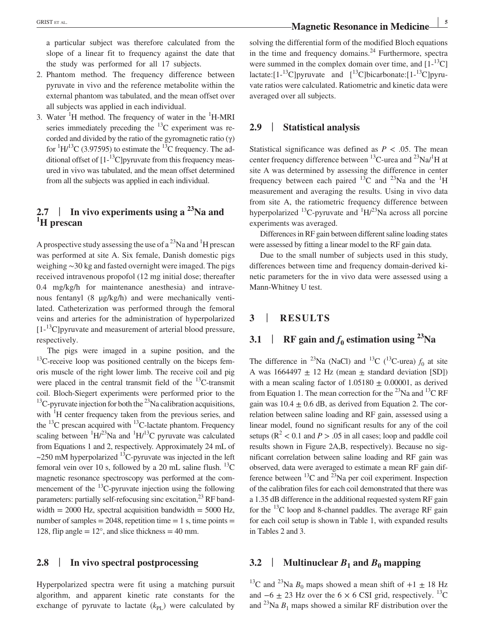a particular subject was therefore calculated from the slope of a linear fit to frequency against the date that the study was performed for all 17 subjects.

- 2. Phantom method. The frequency difference between pyruvate in vivo and the reference metabolite within the external phantom was tabulated, and the mean offset over all subjects was applied in each individual.
- 3. Water <sup>1</sup>H method. The frequency of water in the <sup>1</sup>H-MRI series immediately preceding the  $^{13}$ C experiment was recorded and divided by the ratio of the gyromagnetic ratio  $(\gamma)$ for  ${}^{1}$ H/<sup>13</sup>C (3.97595) to estimate the <sup>13</sup>C frequency. The additional offset of  $[1 - {^{13}C}]$  pyruvate from this frequency measured in vivo was tabulated, and the mean offset determined from all the subjects was applied in each individual.

### 2.7 | In vivo experiments using a <sup>23</sup>Na and **1 H prescan**

A prospective study assessing the use of  $a^{23}$ Na and  ${}^{1}$ H prescan was performed at site A. Six female, Danish domestic pigs weighing ∼30 kg and fasted overnight were imaged. The pigs received intravenous propofol (12 mg initial dose; thereafter 0.4 mg/kg/h for maintenance anesthesia) and intravenous fentanyl (8 μg/kg/h) and were mechanically ventilated. Catheterization was performed through the femoral veins and arteries for the administration of hyperpolarized  $[1 - {^{13}C}]$ pyruvate and measurement of arterial blood pressure, respectively.

The pigs were imaged in a supine position, and the  $13$ C-receive loop was positioned centrally on the biceps femoris muscle of the right lower limb. The receive coil and pig were placed in the central transmit field of the  $^{13}$ C-transmit coil. Bloch-Siegert experiments were performed prior to the <sup>13</sup>C-pyruvate injection for both the <sup>23</sup>Na calibration acquisitions, with <sup>1</sup>H center frequency taken from the previous series, and the  $^{13}$ C prescan acquired with  $^{13}$ C-lactate phantom. Frequency scaling between  ${}^{1}H/{}^{23}Na$  and  ${}^{1}H/{}^{13}C$  pyruvate was calculated from Equations 1 and 2, respectively. Approximately 24 mL of  $\sim$ 250 mM hyperpolarized <sup>13</sup>C-pyruvate was injected in the left femoral vein over 10 s, followed by a 20 mL saline flush.  $^{13}$ C magnetic resonance spectroscopy was performed at the commencement of the  $^{13}$ C-pyruvate injection using the following parameters: partially self-refocusing sinc excitation, $^{23}$  RF bandwidth  $= 2000$  Hz, spectral acquisition bandwidth  $= 5000$  Hz, number of samples  $= 2048$ , repetition time  $= 1$  s, time points  $=$ 128, flip angle  $= 12^{\circ}$ , and slice thickness  $= 40$  mm.

#### **2.8** | **In vivo spectral postprocessing**

Hyperpolarized spectra were fit using a matching pursuit algorithm, and apparent kinetic rate constants for the exchange of pyruvate to lactate  $(k_{PL})$  were calculated by solving the differential form of the modified Bloch equations in the time and frequency domains. $^{24}$  Furthermore, spectra were summed in the complex domain over time, and  $[1$ <sup>-13</sup>C] lactate: $[1 - {}^{13}C]$ pyruvate and  $[{}^{13}C]$ bicarbonate: $[1 - {}^{13}C]$ pyruvate ratios were calculated. Ratiometric and kinetic data were averaged over all subjects.

#### **2.9** | **Statistical analysis**

Statistical significance was defined as  $P < .05$ . The mean center frequency difference between <sup>13</sup>C-urea and <sup>23</sup>Na/<sup>1</sup>H at site A was determined by assessing the difference in center frequency between each paired <sup>13</sup>C and <sup>23</sup>Na and the <sup>1</sup>H measurement and averaging the results. Using in vivo data from site A, the ratiometric frequency difference between hyperpolarized  $^{13}$ C-pyruvate and  $^{1}$ H $/^{23}$ Na across all porcine experiments was averaged.

Differences in RF gain between different saline loading states were assessed by fitting a linear model to the RF gain data.

Due to the small number of subjects used in this study, differences between time and frequency domain-derived kinetic parameters for the in vivo data were assessed using a Mann-Whitney U test.

#### **3** | **RESULTS**

### **3.1** | **RF** gain and  $f_0$  estimation using <sup>23</sup>Na

The difference in <sup>23</sup>Na (NaCl) and <sup>13</sup>C (<sup>13</sup>C-urea)  $f_0$  at site A was  $1664497 \pm 12$  Hz (mean  $\pm$  standard deviation [SD]) with a mean scaling factor of  $1.05180 \pm 0.00001$ , as derived from Equation 1. The mean correction for the <sup>23</sup>Na and <sup>13</sup>C RF gain was  $10.4 \pm 0.6$  dB, as derived from Equation 2. The correlation between saline loading and RF gain, assessed using a linear model, found no significant results for any of the coil setups ( $R^2$  < 0.1 and *P* > .05 in all cases; loop and paddle coil results shown in Figure 2A,B, respectively). Because no significant correlation between saline loading and RF gain was observed, data were averaged to estimate a mean RF gain difference between  $^{13}$ C and  $^{23}$ Na per coil experiment. Inspection of the calibration files for each coil demonstrated that there was a 1.35 dB difference in the additional requested system RF gain for the  $^{13}$ C loop and 8-channel paddles. The average RF gain for each coil setup is shown in Table 1, with expanded results in Tables 2 and 3.

#### **3.2** | **Multinuclear**  $B_1$  **and**  $B_0$  **mapping**

<sup>13</sup>C and <sup>23</sup>Na  $B_0$  maps showed a mean shift of +1  $\pm$  18 Hz and  $-6 \pm 23$  Hz over the 6 × 6 CSI grid, respectively. <sup>13</sup>C and  $^{23}$ Na  $B_1$  maps showed a similar RF distribution over the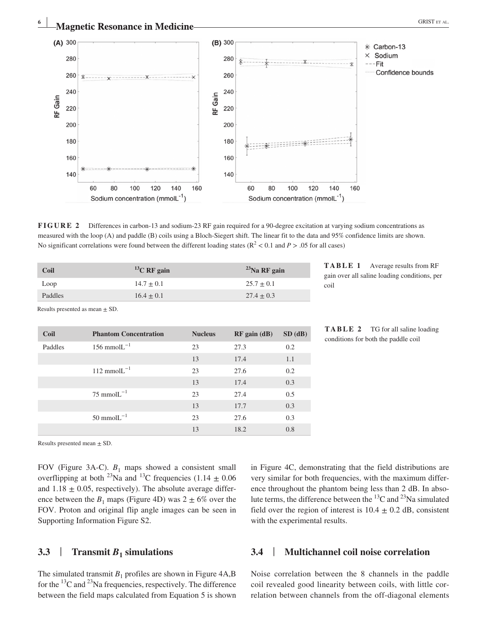



**FIGURE 2** Differences in carbon-13 and sodium-23 RF gain required for a 90-degree excitation at varying sodium concentrations as measured with the loop (A) and paddle (B) coils using a Bloch-Siegert shift. The linear fit to the data and 95% confidence limits are shown. No significant correlations were found between the different loading states ( $\mathbb{R}^2$  < 0.1 and *P* > .05 for all cases)

| Coil    | ${}^{13}C$ RF gain | $23$ Na RF gain |
|---------|--------------------|-----------------|
| Loop    | $14.7 \pm 0.1$     | $25.7 \pm 0.1$  |
| Paddles | $16.4 \pm 0.1$     | $27.4 \pm 0.3$  |

**TABLE 1** Average results from RF gain over all saline loading conditions, per coil

Results presented as mean ± SD.

| Coil    | <b>Phantom Concentration</b> | <b>Nucleus</b> | $RF$ gain $(dB)$ | $SD$ (dB) |
|---------|------------------------------|----------------|------------------|-----------|
| Paddles | 156 mmol $L^{-1}$            | 23             | 27.3             | 0.2       |
|         |                              | 13             | 17.4             | 1.1       |
|         | $112$ mmol $L^{-1}$          | 23             | 27.6             | 0.2       |
|         |                              | 13             | 17.4             | 0.3       |
|         | 75 mmol $L^{-1}$             | 23             | 27.4             | 0.5       |
|         |                              | 13             | 17.7             | 0.3       |
|         | $50$ mmol $L^{-1}$           | 23             | 27.6             | 0.3       |
|         |                              | 13             | 18.2             | 0.8       |

| TABLE 2                             |  | TG for all saline loading |
|-------------------------------------|--|---------------------------|
| conditions for both the paddle coil |  |                           |

Results presented mean ± SD.

FOV (Figure 3A-C).  $B_1$  maps showed a consistent small overflipping at both <sup>23</sup>Na and <sup>13</sup>C frequencies (1.14  $\pm$  0.06 and  $1.18 \pm 0.05$ , respectively). The absolute average difference between the  $B_1$  maps (Figure 4D) was  $2 \pm 6\%$  over the FOV. Proton and original flip angle images can be seen in Supporting Information Figure S2.

### **3.3** | **Transmit** *B***1 simulations**

The simulated transmit  $B_1$  profiles are shown in Figure  $4A$ , B for the  $^{13}$ C and  $^{23}$ Na frequencies, respectively. The difference between the field maps calculated from Equation 5 is shown in Figure 4C, demonstrating that the field distributions are very similar for both frequencies, with the maximum difference throughout the phantom being less than 2 dB. In absolute terms, the difference between the  ${}^{13}$ C and  ${}^{23}$ Na simulated field over the region of interest is  $10.4 \pm 0.2$  dB, consistent with the experimental results.

#### **3.4** | **Multichannel coil noise correlation**

Noise correlation between the 8 channels in the paddle coil revealed good linearity between coils, with little correlation between channels from the off-diagonal elements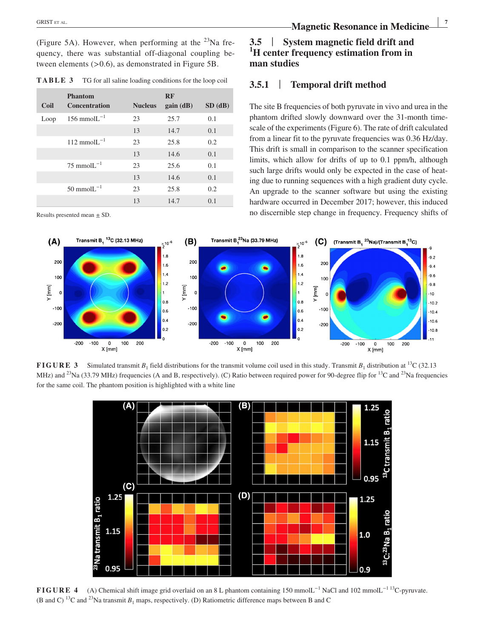(Figure 5A). However, when performing at the  $^{23}$ Na frequency, there was substantial off-diagonal coupling between elements (>0.6), as demonstrated in Figure 5B.

**TABLE 3** TG for all saline loading conditions for the loop coil

| <b>Phantom</b><br><b>Concentration</b> | <b>Nucleus</b> | RF<br>$gain$ (dB) | $SD$ (dB) |
|----------------------------------------|----------------|-------------------|-----------|
| $156$ mmol $L^{-1}$                    | 23             | 25.7              | 0.1       |
|                                        | 13             | 14.7              | 0.1       |
| $112$ mmol $L^{-1}$                    | 23             | 25.8              | 0.2       |
|                                        | 13             | 14.6              | 0.1       |
| $75$ mmol $L^{-1}$                     | 23             | 25.6              | 0.1       |
|                                        | 13             | 14.6              | 0.1       |
| 50 mmol $L^{-1}$                       | 23             | 25.8              | 0.2       |
|                                        | 13             | 14.7              | 0.1       |
|                                        |                |                   |           |

Results presented mean ± SD.

# **EXIST ET AL. CRIST ET AL.** *CRIST ET AL. T*

# **3.5** <sup>|</sup> **System magnetic field drift and 1 H center frequency estimation from in man studies**

#### **3.5.1** | **Temporal drift method**

The site B frequencies of both pyruvate in vivo and urea in the phantom drifted slowly downward over the 31-month timescale of the experiments (Figure 6). The rate of drift calculated from a linear fit to the pyruvate frequencies was 0.36 Hz/day. This drift is small in comparison to the scanner specification limits, which allow for drifts of up to 0.1 ppm/h, although such large drifts would only be expected in the case of heating due to running sequences with a high gradient duty cycle. An upgrade to the scanner software but using the existing hardware occurred in December 2017; however, this induced no discernible step change in frequency. Frequency shifts of



**FIGURE 3** Simulated transmit  $B_1$  field distributions for the transmit volume coil used in this study. Transmit  $B_1$  distribution at <sup>13</sup>C (32.13) MHz) and <sup>23</sup>Na (33.79 MHz) frequencies (A and B, respectively). (C) Ratio between required power for 90-degree flip for <sup>13</sup>C and <sup>23</sup>Na frequencies for the same coil. The phantom position is highlighted with a white line



**FIGURE 4** (A) Chemical shift image grid overlaid on an 8 L phantom containing 150 mmolL<sup>-1</sup> NaCl and 102 mmolL<sup>-1 13</sup>C-pyruvate. (B and C)<sup>13</sup>C and <sup>23</sup>Na transmit  $B_1$  maps, respectively. (D) Ratiometric difference maps between B and C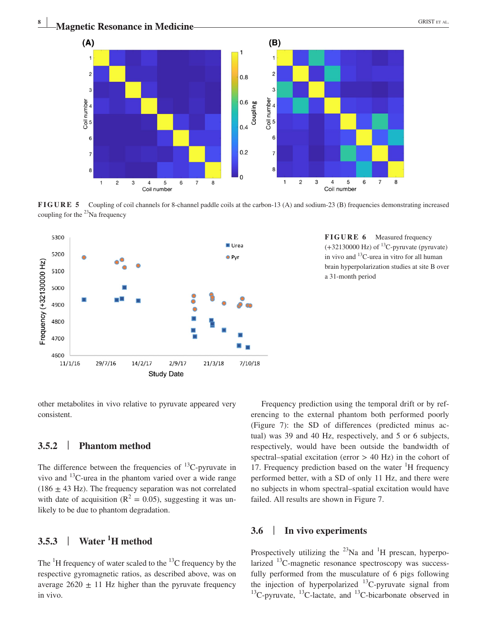

**FIGURE 5** Coupling of coil channels for 8-channel paddle coils at the carbon-13 (A) and sodium-23 (B) frequencies demonstrating increased coupling for the <sup>23</sup>Na frequency



**FIGURE 6** Measured frequency  $(+32130000 \text{ Hz})$  of  $^{13}$ C-pyruvate (pyruvate) in vivo and 13C-urea in vitro for all human brain hyperpolarization studies at site B over a 31-month period

other metabolites in vivo relative to pyruvate appeared very consistent.

#### **3.5.2** | **Phantom method**

The difference between the frequencies of  $^{13}$ C-pyruvate in vivo and  $^{13}$ C-urea in the phantom varied over a wide range  $(186 \pm 43 \text{ Hz})$ . The frequency separation was not correlated with date of acquisition ( $R^2 = 0.05$ ), suggesting it was unlikely to be due to phantom degradation.

# **3.5.3** | **Water 1 H method**

The  ${}^{1}$ H frequency of water scaled to the  ${}^{13}$ C frequency by the respective gyromagnetic ratios, as described above, was on average  $2620 \pm 11$  Hz higher than the pyruvate frequency in vivo.

Frequency prediction using the temporal drift or by referencing to the external phantom both performed poorly (Figure 7): the SD of differences (predicted minus actual) was 39 and 40 Hz, respectively, and 5 or 6 subjects, respectively, would have been outside the bandwidth of spectral–spatial excitation (error  $> 40$  Hz) in the cohort of 17. Frequency prediction based on the water  ${}^{1}H$  frequency performed better, with a SD of only 11 Hz, and there were no subjects in whom spectral–spatial excitation would have failed. All results are shown in Figure 7.

#### **3.6** | **In vivo experiments**

Prospectively utilizing the  $^{23}$ Na and  $^{1}$ H prescan, hyperpolarized  $^{13}$ C-magnetic resonance spectroscopy was successfully performed from the musculature of 6 pigs following the injection of hyperpolarized  $^{13}$ C-pyruvate signal from  $13C$ -pyruvate,  $13C$ -lactate, and  $13C$ -bicarbonate observed in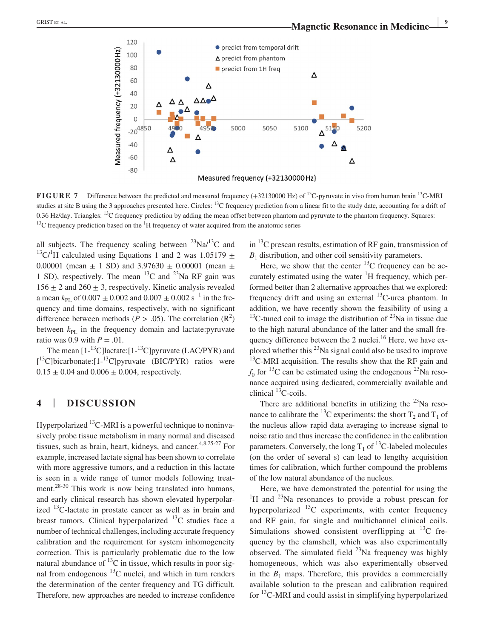

**FIGURE 7** Difference between the predicted and measured frequency (+32130000 Hz) of <sup>13</sup>C-pyruvate in vivo from human brain <sup>13</sup>C-MRI studies at site B using the 3 approaches presented here. Circles:  $^{13}$ C frequency prediction from a linear fit to the study date, accounting for a drift of 0.36 Hz/day. Triangles:  $^{13}$ C frequency prediction by adding the mean offset between phantom and pyruvate to the phantom frequency. Squares:  $^{13}$ C frequency prediction based on the  $^{1}$ H frequency of water acquired from the anatomic series

all subjects. The frequency scaling between  $^{23}$ Na $/^{13}$ C and <sup>13</sup>C/<sup>1</sup>H calculated using Equations 1 and 2 was 1.05179  $\pm$ 0.00001 (mean  $\pm$  1 SD) and 3.97630  $\pm$  0.00001 (mean  $\pm$ 1 SD), respectively. The mean  $^{13}$ C and  $^{23}$ Na RF gain was  $156 \pm 2$  and  $260 \pm 3$ , respectively. Kinetic analysis revealed a mean  $k_{\text{PL}}$  of 0.007  $\pm$  0.002 and 0.007  $\pm$  0.002 s<sup>-1</sup> in the frequency and time domains, respectively, with no significant difference between methods ( $P > .05$ ). The correlation ( $\mathbb{R}^2$ ) between  $k_{\text{PL}}$  in the frequency domain and lactate:pyruvate ratio was 0.9 with  $P = .01$ .

The mean  $[1 - {^{13}C}]$ lactate: $[1 - {^{13}C}]$ pyruvate (LAC/PYR) and  $\left[ {}^{13}C \right]$ bicarbonate: $\left[ 1- {}^{13}C \right]$ pyruvate (BIC/PYR) ratios were  $0.15 \pm 0.04$  and  $0.006 \pm 0.004$ , respectively.

#### **4** | **DISCUSSION**

Hyperpolarized <sup>13</sup>C-MRI is a powerful technique to noninvasively probe tissue metabolism in many normal and diseased tissues, such as brain, heart, kidneys, and cancer. $4,8,25-27$  For example, increased lactate signal has been shown to correlate with more aggressive tumors, and a reduction in this lactate is seen in a wide range of tumor models following treatment.28-30 This work is now being translated into humans, and early clinical research has shown elevated hyperpolarized 13C-lactate in prostate cancer as well as in brain and breast tumors. Clinical hyperpolarized  $^{13}$ C studies face a number of technical challenges, including accurate frequency calibration and the requirement for system inhomogeneity correction. This is particularly problematic due to the low natural abundance of  $^{13}$ C in tissue, which results in poor signal from endogenous  $^{13}$ C nuclei, and which in turn renders the determination of the center frequency and TG difficult. Therefore, new approaches are needed to increase confidence in  ${}^{13}C$  prescan results, estimation of RF gain, transmission of *B*1 distribution, and other coil sensitivity parameters.

Here, we show that the center  $^{13}$ C frequency can be accurately estimated using the water <sup>1</sup>H frequency, which performed better than 2 alternative approaches that we explored: frequency drift and using an external  $^{13}$ C-urea phantom. In addition, we have recently shown the feasibility of using a <sup>13</sup>C-tuned coil to image the distribution of <sup>23</sup>Na in tissue due to the high natural abundance of the latter and the small frequency difference between the 2 nuclei.<sup>16</sup> Here, we have explored whether this  $^{23}$ Na signal could also be used to improve  $13$ C-MRI acquisition. The results show that the RF gain and  $f_0$  for <sup>13</sup>C can be estimated using the endogenous <sup>23</sup>Na resonance acquired using dedicated, commercially available and clinical  ${}^{13}$ C-coils.

There are additional benefits in utilizing the  $23$ Na resonance to calibrate the <sup>13</sup>C experiments: the short  $T_2$  and  $T_1$  of the nucleus allow rapid data averaging to increase signal to noise ratio and thus increase the confidence in the calibration parameters. Conversely, the long  $T_1$  of <sup>13</sup>C-labeled molecules (on the order of several s) can lead to lengthy acquisition times for calibration, which further compound the problems of the low natural abundance of the nucleus.

Here, we have demonstrated the potential for using the <sup>1</sup>H and <sup>23</sup>Na resonances to provide a robust prescan for hyperpolarized  $^{13}$ C experiments, with center frequency and RF gain, for single and multichannel clinical coils. Simulations showed consistent overflipping at  $^{13}$ C frequency by the clamshell, which was also experimentally observed. The simulated field  $^{23}$ Na frequency was highly homogeneous, which was also experimentally observed in the  $B_1$  maps. Therefore, this provides a commercially available solution to the prescan and calibration required for 13C-MRI and could assist in simplifying hyperpolarized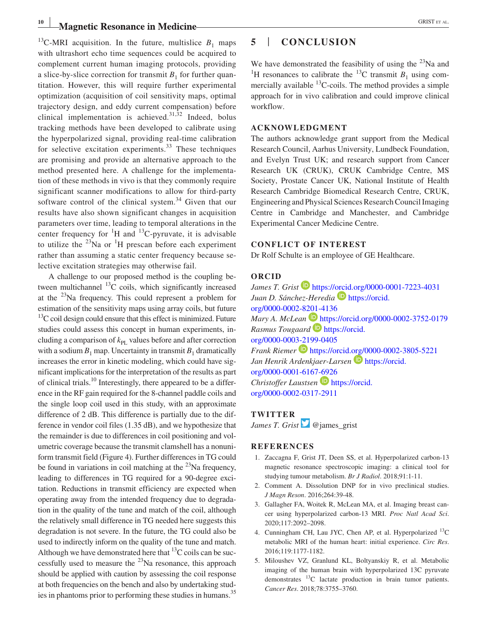#### **<sup>10</sup> <sup>|</sup> Magnetic Resonance in Medicine Magnetic Resonance in Medicine Magnetic Resonance in Medicine**

<sup>13</sup>C-MRI acquisition. In the future, multislice  $B_1$  maps with ultrashort echo time sequences could be acquired to complement current human imaging protocols, providing a slice-by-slice correction for transmit  $B_1$  for further quantitation. However, this will require further experimental optimization (acquisition of coil sensitivity maps, optimal trajectory design, and eddy current compensation) before clinical implementation is achieved. $31,32$  Indeed, bolus tracking methods have been developed to calibrate using the hyperpolarized signal, providing real-time calibration for selective excitation experiments. $33$  These techniques are promising and provide an alternative approach to the method presented here. A challenge for the implementation of these methods in vivo is that they commonly require significant scanner modifications to allow for third-party software control of the clinical system.<sup>34</sup> Given that our results have also shown significant changes in acquisition parameters over time, leading to temporal alterations in the center frequency for  ${}^{1}H$  and  ${}^{13}C$ -pyruvate, it is advisable to utilize the  $23$ Na or <sup>1</sup>H prescan before each experiment rather than assuming a static center frequency because selective excitation strategies may otherwise fail.

A challenge to our proposed method is the coupling between multichannel  $^{13}$ C coils, which significantly increased at the  $^{23}$ Na frequency. This could represent a problem for estimation of the sensitivity maps using array coils, but future  $13^{\circ}$ C coil design could ensure that this effect is minimized. Future studies could assess this concept in human experiments, including a comparison of  $k_{\text{PL}}$  values before and after correction with a sodium  $B_1$  map. Uncertainty in transmit  $B_1$  dramatically increases the error in kinetic modeling, which could have significant implications for the interpretation of the results as part of clinical trials.<sup>10</sup> Interestingly, there appeared to be a difference in the RF gain required for the 8-channel paddle coils and the single loop coil used in this study, with an approximate difference of 2 dB. This difference is partially due to the difference in vendor coil files (1.35 dB), and we hypothesize that the remainder is due to differences in coil positioning and volumetric coverage because the transmit clamshell has a nonuniform transmit field (Figure 4). Further differences in TG could be found in variations in coil matching at the  $^{23}$ Na frequency, leading to differences in TG required for a 90-degree excitation. Reductions in transmit efficiency are expected when operating away from the intended frequency due to degradation in the quality of the tune and match of the coil, although the relatively small difference in TG needed here suggests this degradation is not severe. In the future, the TG could also be used to indirectly inform on the quality of the tune and match. Although we have demonstrated here that  ${}^{13}C$  coils can be successfully used to measure the  $^{23}$ Na resonance, this approach should be applied with caution by assessing the coil response at both frequencies on the bench and also by undertaking studies in phantoms prior to performing these studies in humans.<sup>35</sup>

#### **5** | **CONCLUSION**

We have demonstrated the feasibility of using the  $23$ Na and <sup>1</sup>H resonances to calibrate the <sup>13</sup>C transmit  $B_1$  using commercially available  $^{13}$ C-coils. The method provides a simple approach for in vivo calibration and could improve clinical workflow.

#### **ACKNOWLEDGMENT**

The authors acknowledge grant support from the Medical Research Council, Aarhus University, Lundbeck Foundation, and Evelyn Trust UK; and research support from Cancer Research UK (CRUK), CRUK Cambridge Centre, MS Society, Prostate Cancer UK, National Institute of Health Research Cambridge Biomedical Research Centre, CRUK, Engineering and Physical Sciences Research Council Imaging Centre in Cambridge and Manchester, and Cambridge Experimental Cancer Medicine Centre.

#### **CONFLICT OF INTEREST**

Dr Rolf Schulte is an employee of GE Healthcare.

#### **ORCID**

*James T. Grist* **b** <https://orcid.org/0000-0001-7223-4031> *Juan D. Sánchez-Heredia* **[https://orcid.](https://orcid.org/0000-0002-8201-4136)** [org/0000-0002-8201-4136](https://orcid.org/0000-0002-8201-4136) *Mary A. McLean* **b** <https://orcid.org/0000-0002-3752-0179> *Rasmus Tougaard* [https://orcid.](https://orcid.org/0000-0003-2199-0405) [org/0000-0003-2199-0405](https://orcid.org/0000-0003-2199-0405) *Frank Riemer* <https://orcid.org/0000-0002-3805-5221> Jan Henrik Ardenkjaer-Larsen<sup>D</sup> [https://orcid.](https://orcid.org/0000-0001-6167-6926) [org/0000-0001-6167-6926](https://orcid.org/0000-0001-6167-6926) *Christoffer Laustsen* **[https://orcid.](https://orcid.org/0000-0002-0317-2911)** [org/0000-0002-0317-2911](https://orcid.org/0000-0002-0317-2911)

#### **TWITTER**

*James T. Grist*@james\_grist

#### **REFERENCES**

- 1. Zaccagna F, Grist JT, Deen SS, et al. Hyperpolarized carbon-13 magnetic resonance spectroscopic imaging: a clinical tool for studying tumour metabolism. *Br J Radiol*. 2018;91:1-11.
- 2. Comment A. Dissolution DNP for in vivo preclinical studies. *J Magn Reson*. 2016;264:39-48.
- 3. Gallagher FA, Woitek R, McLean MA, et al. Imaging breast cancer using hyperpolarized carbon-13 MRI. *Proc Natl Acad Sci*. 2020;117:2092–2098.
- 4. Cunningham CH, Lau JYC, Chen AP, et al. Hyperpolarized <sup>13</sup>C metabolic MRI of the human heart: initial experience. *Circ Res*. 2016;119:1177-1182.
- 5. Miloushev VZ, Granlund KL, Boltyanskiy R, et al. Metabolic imaging of the human brain with hyperpolarized 13C pyruvate demonstrates  $^{13}$ C lactate production in brain tumor patients. *Cancer Res*. 2018;78:3755–3760.